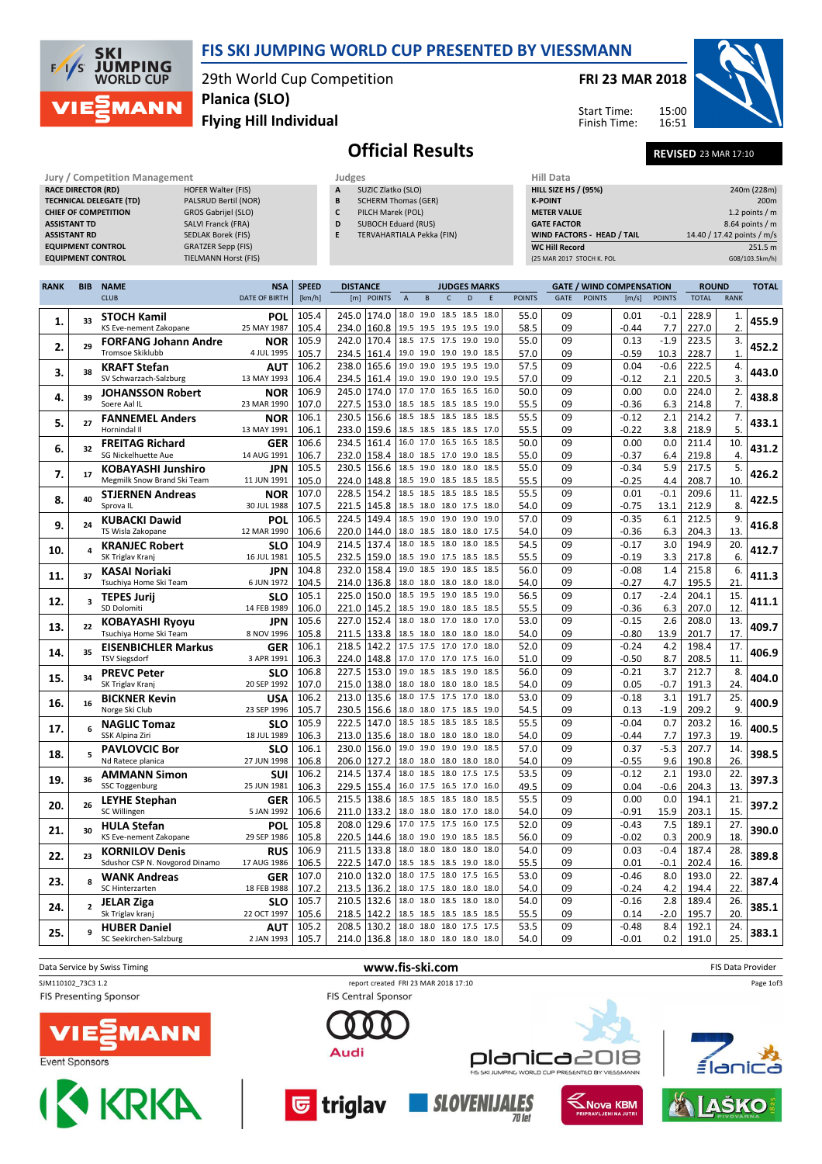

## FIS SKI JUMPING WORLD CUP PRESENTED BY VIESSMANN

29th World Cup Competition Flying Hill Individual Planica (SLO)

## FRI 23 MAR 2018

Start Time: Finish Time:



AŠKO

Official Results REVISED 23 MAR 17:10

15:00 16:51

| Jury / Competition Management  |                             |              | Judges                     |                    |  |  |  |  |  |
|--------------------------------|-----------------------------|--------------|----------------------------|--------------------|--|--|--|--|--|
| <b>RACE DIRECTOR (RD)</b>      | <b>HOFER Walter (FIS)</b>   | $\mathsf{A}$ | SUZIC Zlatko (SLO)         | <b>HILL SIZE H</b> |  |  |  |  |  |
| <b>TECHNICAL DELEGATE (TD)</b> | PALSRUD Bertil (NOR)        | B            | <b>SCHERM Thomas (GER)</b> | <b>K-POINT</b>     |  |  |  |  |  |
| <b>CHIEF OF COMPETITION</b>    | <b>GROS Gabrijel (SLO)</b>  | C            | PILCH Marek (POL)          | <b>METER VAI</b>   |  |  |  |  |  |
| <b>ASSISTANT TD</b>            | <b>SALVI Franck (FRA)</b>   | D            | <b>SUBOCH Eduard (RUS)</b> | <b>GATE FACT</b>   |  |  |  |  |  |
| <b>ASSISTANT RD</b>            | <b>SEDLAK Borek (FIS)</b>   | E            | TERVAHARTIALA Pekka (FIN)  | <b>WIND FACT</b>   |  |  |  |  |  |
| <b>EQUIPMENT CONTROL</b>       | <b>GRATZER Sepp (FIS)</b>   |              |                            | <b>WC Hill Red</b> |  |  |  |  |  |
| <b>EQUIPMENT CONTROL</b>       | <b>TIELMANN Horst (FIS)</b> |              |                            | (25 MAR 201)       |  |  |  |  |  |

| <b>HOFER Walter (FIS)</b>  |  |
|----------------------------|--|
| PALSRUD Bertil (NOR)       |  |
| <b>GROS Gabrijel (SLO)</b> |  |
| <b>SALVI Franck (FRA)</b>  |  |
| <b>SEDLAK Borek (FIS)</b>  |  |
|                            |  |

- A SUZIC Zlatko (SLO) **B** SCHERM Thomas (GER)
- C PILCH Marek (POL)
- D SUBOCH Eduard (RUS)
- E TERVAHARTIALA Pekka (FIN)

| Hill Data                         |                            |
|-----------------------------------|----------------------------|
| <b>HILL SIZE HS / (95%)</b>       | 240m (228m)                |
| <b>K-POINT</b>                    | 200 <sub>m</sub>           |
| <b>METER VALUE</b>                | 1.2 points $/m$            |
| <b>GATE FACTOR</b>                | 8.64 points $/m$           |
| <b>WIND FACTORS - HEAD / TAIL</b> | 14.40 / 17.42 points / m/s |
| <b>WC Hill Record</b>             | 251.5 m                    |
| (25 MAR 2017 STOCH K. POL         | G08/103.5km/h)             |

| <b>RANK</b> | <b>BIB</b>              | <b>NAME</b>                            | <b>NSA</b>                | <b>SPEED</b>   | <b>DISTANCE</b>                  | <b>JUDGES MARKS</b>                                     |      |               |             |               | <b>GATE / WIND COMPENSATION</b> |               | <b>ROUND</b>   |                | <b>TOTAL</b> |
|-------------|-------------------------|----------------------------------------|---------------------------|----------------|----------------------------------|---------------------------------------------------------|------|---------------|-------------|---------------|---------------------------------|---------------|----------------|----------------|--------------|
|             |                         | <b>CLUB</b>                            | <b>DATE OF BIRTH</b>      | [km/h]         | [m] POINTS                       | $\mathsf A$<br>$\,$ B<br>$\mathsf{C}$<br>D              | E    | <b>POINTS</b> | <b>GATE</b> | <b>POINTS</b> | [m/s]                           | <b>POINTS</b> | <b>TOTAL</b>   | <b>RANK</b>    |              |
|             |                         | <b>STOCH Kamil</b>                     | POL                       | 105.4          | 245.0<br>174.0                   | 18.0<br>19.0<br>18.5 18.5                               | 18.0 | 55.0          | 09          |               | 0.01                            | $-0.1$        | 228.9          | 1.             |              |
| 1.          | 33                      | KS Eve-nement Zakopane                 | 25 MAY 1987               | 105.4          | 234.0<br>160.8                   | 19.5 19.5 19.5 19.5 19.0                                |      | 58.5          | 09          |               | $-0.44$                         | 7.7           | 227.0          | $\overline{2}$ | 455.9        |
| 2.          | 29                      | <b>FORFANG Johann Andre</b>            | <b>NOR</b>                | 105.9          | 242.0<br>170.4                   | 17.5 19.0<br>18.5<br>17.5                               | 19.0 | 55.0          | 09          |               | 0.13                            | $-1.9$        | 223.5          | 3.             | 452.2        |
|             |                         | <b>Tromsoe Skiklubb</b>                | 4 JUL 1995                | 105.7          | 161.4<br>234.5                   | 19.0 19.0 19.0 19.0 18.5                                |      | 57.0          | 09          |               | $-0.59$                         | 10.3          | 228.7          | $\mathbf{1}$   |              |
| 3.          | 38                      | <b>KRAFT Stefan</b>                    | AUT                       | 106.2          | 238.0<br>165.6                   | 19.0 19.0 19.5 19.5 19.0                                |      | 57.5          | 09          |               | 0.04                            | $-0.6$        | 222.5          | 4.             | 443.0        |
|             |                         | SV Schwarzach-Salzburg                 | 13 MAY 1993               | 106.4          | 234.5<br>161.4                   | 19.0 19.0 19.0 19.0 19.5                                |      | 57.0          | 09          |               | $-0.12$                         | 2.1           | 220.5          | 3.             |              |
| 4.          | 39                      | <b>JOHANSSON Robert</b>                | <b>NOR</b>                | 106.9          | 245.0<br>174.0                   | 17.0<br>17.0 16.5 16.5 16.0                             |      | 50.0          | 09          |               | 0.00                            | 0.0           | 224.0          | 2.<br>7.       | 438.8        |
|             |                         | Soere Aal IL                           | 23 MAR 1990               | 107.0<br>106.1 | 227.5<br>153.0<br>156.6<br>230.5 | 18.5 18.5 18.5 18.5 19.0<br>18.5<br>18.5 18.5 18.5 18.5 |      | 55.5<br>55.5  | 09<br>09    |               | -0.36<br>$-0.12$                | 6.3<br>2.1    | 214.8<br>214.2 | 7.             |              |
| 5.          | 27                      | <b>FANNEMEL Anders</b><br>Hornindal II | <b>NOR</b><br>13 MAY 1991 | 106.1          | 233.0<br>159.6                   | 18.5 18.5 18.5 18.5 17.0                                |      | 55.5          | 09          |               | $-0.22$                         | 3.8           | 218.9          | 5.             | 433.1        |
|             |                         | <b>FREITAG Richard</b>                 | <b>GER</b>                | 106.6          | 234.5<br>161.4                   | 16.0 17.0 16.5 16.5                                     | 18.5 | 50.0          | 09          |               | 0.00                            | 0.0           | 211.4          | 10             |              |
| 6.          | 32                      | <b>SG Nickelhuette Aue</b>             | 14 AUG 1991               | 106.7          | 158.4<br>232.0                   | 18.0<br>18.5<br>17.0 19.0                               | 18.5 | 55.0          | 09          |               | $-0.37$                         | 6.4           | 219.8          | 4.             | 431.2        |
|             |                         | <b>KOBAYASHI Junshiro</b>              | <b>JPN</b>                | 105.5          | 230.5<br>156.6                   | 18.5<br>19.0<br>18.0<br>18.0                            | 18.5 | 55.0          | 09          |               | $-0.34$                         | 5.9           | 217.5          | 5.             |              |
| 7.          | 17                      | Megmilk Snow Brand Ski Team            | 11 JUN 1991               | 105.0          | 148.8<br>224.0                   | 18.5<br>19.0 18.5 18.5 18.5                             |      | 55.5          | 09          |               | $-0.25$                         | 4.4           | 208.7          | 10             | 426.2        |
|             |                         | <b>STJERNEN Andreas</b>                | <b>NOR</b>                | 107.0          | 228.5<br>154.2                   | 18.5 18.5 18.5 18.5                                     | 18.5 | 55.5          | 09          |               | 0.01                            | $-0.1$        | 209.6          | 11             |              |
| 8.          | 40                      | Sprova IL                              | 30 JUL 1988               | 107.5          | 221.5<br>145.8                   | 18.5 18.0 18.0 17.5 18.0                                |      | 54.0          | 09          |               | -0.75                           | 13.1          | 212.9          | 8              | 422.5        |
|             |                         | <b>KUBACKI Dawid</b>                   | POL                       | 106.5          | 224.5<br>149.4                   | 18.5<br>19.0<br>19.0 19.0                               | 19.0 | 57.0          | 09          |               | $-0.35$                         | 6.1           | 212.5          | 9.             |              |
| 9.          | 24                      | TS Wisla Zakopane                      | 12 MAR 1990               | 106.6          | 220.0<br>144.0                   | 18.0 18.5 18.0 18.0 17.5                                |      | 54.0          | 09          |               | $-0.36$                         | 6.3           | 204.3          | 13.            | 416.8        |
| 10.         | $\Delta$                | <b>KRANJEC Robert</b>                  | <b>SLO</b>                | 104.9          | 137.4<br>214.5                   | 18.0<br>18.5<br>18.0 18.0                               | 18.5 | 54.5          | 09          |               | $-0.17$                         | 3.0           | 194.9          | 20.            | 412.7        |
|             |                         | SK Triglav Kranj                       | 16 JUL 1981               | 105.5          | 232.5<br>159.0                   | 18.5 19.0 17.5 18.5 18.5                                |      | 55.5          | 09          |               | $-0.19$                         | 3.3           | 217.8          | 6.             |              |
| 11.         | 37                      | <b>KASAI Noriaki</b>                   | <b>JPN</b>                | 104.8          | 158.4<br>232.0                   | 19.0 18.5 19.0 18.5 18.5                                |      | 56.0          | 09          |               | $-0.08$                         | 1.4           | 215.8          | 6.             | 411.3        |
|             |                         | Tsuchiya Home Ski Team                 | 6 JUN 1972                | 104.5          | 136.8<br>214.0                   | 18.0 18.0 18.0 18.0                                     | 18.0 | 54.0          | 09          |               | $-0.27$                         | 4.7           | 195.5          | 21             |              |
| 12.         | $\overline{\mathbf{3}}$ | <b>TEPES Jurij</b>                     | SLO                       | 105.1          | 225.0<br>150.0                   | 18.5<br>19.5 19.0 18.5                                  | 19.0 | 56.5          | 09          |               | 0.17                            | $-2.4$        | 204.1          | 15.            | 411.1        |
|             |                         | SD Dolomiti                            | 14 FEB 1989               | 106.0          | 221.0<br>145.2                   | 18.5 19.0 18.0 18.5 18.5                                |      | 55.5          | 09          |               | $-0.36$                         | 6.3           | 207.0          | 12             |              |
| 13.         | 22                      | <b>KOBAYASHI Ryoyu</b>                 | JPN                       | 105.6          | 227.0<br>152.4                   | 18.0 17.0 18.0<br>18.0                                  | 17.0 | 53.0          | 09          |               | $-0.15$                         | 2.6           | 208.0          | 13.            | 409.7        |
|             |                         | Tsuchiya Home Ski Team                 | 8 NOV 1996                | 105.8          | 133.8<br>211.5                   | 18.5 18.0 18.0 18.0 18.0                                |      | 54.0          | 09          |               | $-0.80$                         | 13.9          | 201.7          | 17             |              |
| 14.         | 35                      | <b>EISENBICHLER Markus</b>             | <b>GER</b>                | 106.1          | 218.5<br>142.2                   | 17.5 17.5 17.0 17.0                                     | 18.0 | 52.0          | 09          |               | $-0.24$                         | 4.2           | 198.4          | 17.            | 406.9        |
|             |                         | <b>TSV Siegsdorf</b>                   | 3 APR 1991                | 106.3          | 148.8<br>224.0<br>227.5<br>153.0 | 17.0 17.0 17.0 17.5 16.0<br>19.0<br>18.5 18.5 19.0      | 18.5 | 51.0          | 09<br>09    |               | -0.50<br>$-0.21$                | 8.7           | 208.5          | 11             |              |
| 15.         | 34                      | <b>PREVC Peter</b><br>SK Triglav Kranj | SLO<br>20 SEP 1992        | 106.8<br>107.0 | 215.0<br>138.0                   | 18.0 18.0 18.0 18.0                                     | 18.5 | 56.0<br>54.0  | 09          |               | 0.05                            | 3.7<br>$-0.7$ | 212.7<br>191.3 | 8.<br>24.      | 404.0        |
|             |                         |                                        | <b>USA</b>                | 106.2          | 135.6<br>213.0                   | 17.5 17.5 17.0 18.0<br>18.0                             |      | 53.0          | 09          |               | $-0.18$                         | 3.1           | 191.7          | 25.            |              |
| 16.         | 16                      | <b>BICKNER Kevin</b><br>Norge Ski Club | 23 SEP 1996               | 105.7          | 230.5<br>156.6                   | 18.0 18.0 17.5 18.5                                     | 19.0 | 54.5          | 09          |               | 0.13                            | $-1.9$        | 209.2          | 9              | 400.9        |
|             |                         | <b>NAGLIC Tomaz</b>                    | SLO                       | 105.9          | 222.5<br>147.0                   | 18.5<br>18.5<br>18.5 18.5                               | 18.5 | 55.5          | 09          |               | $-0.04$                         | 0.7           | 203.2          | 16.            |              |
| 17.         | 6                       | SSK Alpina Ziri                        | 18 JUL 1989               | 106.3          | 213.0<br>135.6                   | 18.0 18.0 18.0 18.0                                     | 18.0 | 54.0          | 09          |               | $-0.44$                         | 7.7           | 197.3          | 19             | 400.5        |
|             |                         | <b>PAVLOVCIC Bor</b>                   | SLO                       | 106.1          | 230.0<br>156.0                   | 19.0<br>19.0<br>19.0 19.0                               | 18.5 | 57.0          | 09          |               | 0.37                            | $-5.3$        | 207.7          | 14.            |              |
| 18.         | 5                       | Nd Ratece planica                      | 27 JUN 1998               | 106.8          | 206.0<br>127.2                   | 18.0<br>18.0 18.0 18.0                                  | 18.0 | 54.0          | 09          |               | $-0.55$                         | 9.6           | 190.8          | 26             | 398.5        |
|             |                         | <b>AMMANN Simon</b>                    | SUI                       | 106.2          | 214.5<br>137.4                   | 18.5 18.0 17.5 17.5<br>18.0                             |      | 53.5          | 09          |               | $-0.12$                         | 2.1           | 193.0          | 22.            |              |
| 19.         | 36                      | <b>SSC Toggenburg</b>                  | 25 JUN 1981               | 106.3          | 229.5<br>155.4                   | 16.0 17.5 16.5 17.0 16.0                                |      | 49.5          | 09          |               | 0.04                            | $-0.6$        | 204.3          | 13.            | 397.3        |
|             | 26                      | <b>LEYHE Stephan</b>                   | <b>GER</b>                | 106.5          | 215.5<br>138.6                   | 18.5<br>18.5 18.5 18.0                                  | 18.5 | 55.5          | 09          |               | 0.00                            | 0.0           | 194.1          | 21.            | 397.2        |
| 20.         |                         | SC Willingen                           | 5 JAN 1992                | 106.6          | 211.0<br>133.2                   | 18.0 18.0 18.0 17.0 18.0                                |      | 54.0          | 09          |               | -0.91                           | 15.9          | 203.1          | 15             |              |
| 21.         | 30                      | <b>HULA Stefan</b>                     | POL                       | 105.8          | 208.0<br>129.6                   | 17.5 17.5 16.0 17.5<br>17.0                             |      | 52.0          | 09          |               | $-0.43$                         | 7.5           | 189.1          | 27.            | 390.0        |
|             |                         | KS Eve-nement Zakopane                 | 29 SEP 1986               | 105.8          | 220.5<br>144.6                   | 18.0 19.0 19.0 18.5 18.5                                |      | 56.0          | 09          |               | $-0.02$                         | 0.3           | 200.9          | 18.            |              |
| 22.         | 23                      | <b>KORNILOV Denis</b>                  | <b>RUS</b>                | 106.9          | 133.8<br>211.5                   | 18.0<br>18.0 18.0 18.0                                  | 18.0 | 54.0          | 09          |               | 0.03                            | $-0.4$        | 187.4          | 28.            | 389.8        |
|             |                         | Sdushor CSP N. Novgorod Dinamo         | 17 AUG 1986               | 106.5          | 222.5<br>147.0                   | 18.5 18.5 18.5 19.0                                     | 18.0 | 55.5          | 09          |               | 0.01                            | $-0.1$        | 202.4          | 16.            |              |
| 23.         | 8                       | <b>WANK Andreas</b>                    | <b>GER</b>                | 107.0          | 132.0<br>210.0                   | 18.0<br>17.5<br>18.0<br>17.5                            | 16.5 | 53.0          | 09          |               | $-0.46$                         | 8.0           | 193.0          | 22.            | 387.4        |
|             |                         | SC Hinterzarten                        | 18 FEB 1988               | 107.2          | 213.5<br>136.2                   | 18.0<br>17.5 18.0 18.0                                  | 18.0 | 54.0          | 09          |               | $-0.24$                         | 4.2           | 194.4          | 22.            |              |
| 24.         | $\overline{2}$          | <b>JELAR Ziga</b>                      | <b>SLO</b>                | 105.7          | 210.5<br>132.6                   | 18.0 18.0 18.5 18.0 18.0                                |      | 54.0          | 09          |               | $-0.16$                         | 2.8           | 189.4          | 26             | 385.1        |
|             |                         | Sk Triglav krani                       | 22 OCT 1997               | 105.6          | 218.5<br>142.2                   | 18.5 18.5 18.5 18.5 18.5                                |      | 55.5          | 09          |               | 0.14                            | $-2.0$        | 195.7          | 20             |              |
| 25.         |                         | <b>HUBER Daniel</b>                    | AUT                       | 105.2          | 130.2<br>208.5                   | 18.0<br>18.0<br>18.0 17.5                               | 17.5 | 53.5          | 09          |               | $-0.48$                         | 8.4           | 192.1          | 24.            | 383.1        |
|             |                         | SC Seekirchen-Salzburg                 | 2 JAN 1993                | 105.7          |                                  | 214.0 136.8 18.0 18.0 18.0 18.0 18.0                    |      | 54.0          | 09          |               | $-0.01$                         | 0.2           | 191.0          | 25.            |              |



 $70$  let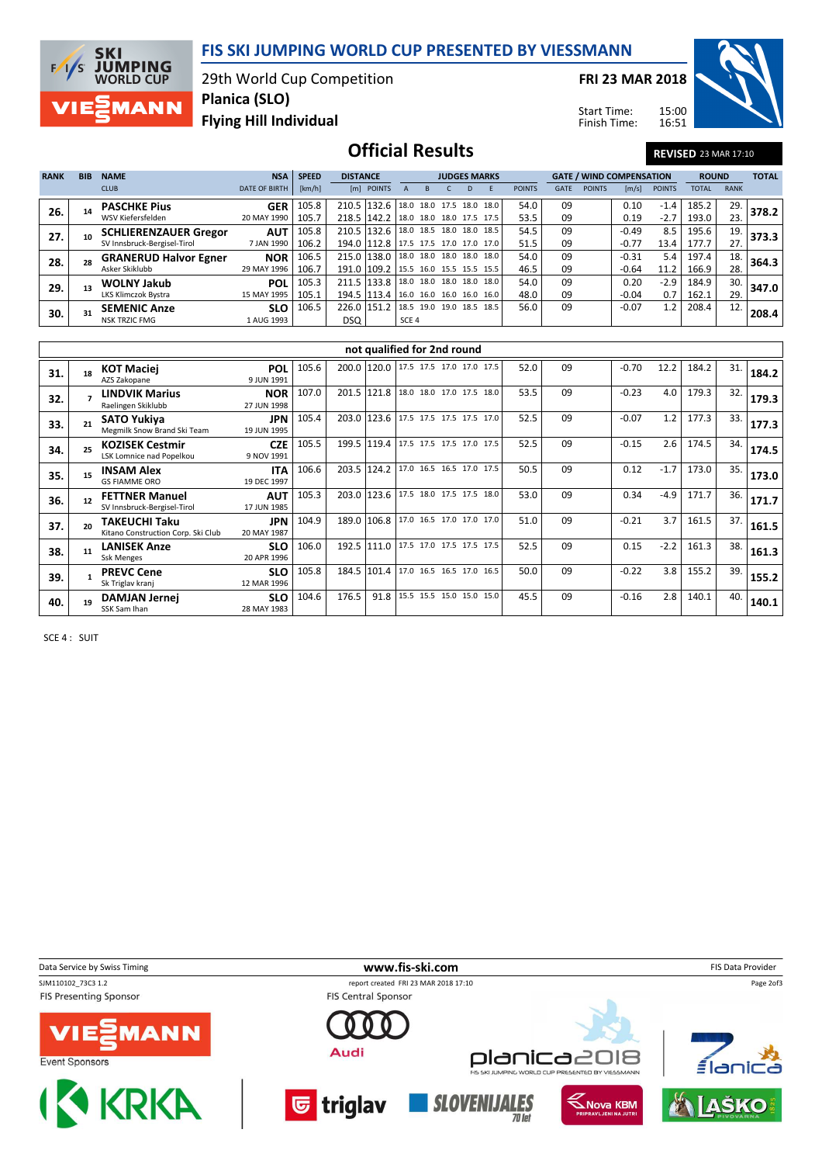

**SKI JUMPING**<br>WORLD CUP  $F/1/s$ **MANN** 

29th World Cup Competition Planica (SLO)

FRI 23 MAR 2018

Start Time: Finish Time: 15:00 16:51



Flying Hill Individual

## Official Results REVISED 23 MAR 17:10

| <b>RANK</b> | <b>BIB</b> | <b>NAME</b>                  | <b>NSA</b>           | <b>SPEED</b> | <b>DISTANCE</b> |                                      |                          | <b>JUDGES MARKS</b>      |  |      |               |             | <b>GATE / WIND COMPENSATION</b> | <b>ROUND</b> |               | <b>TOTAL</b> |             |       |
|-------------|------------|------------------------------|----------------------|--------------|-----------------|--------------------------------------|--------------------------|--------------------------|--|------|---------------|-------------|---------------------------------|--------------|---------------|--------------|-------------|-------|
|             |            | <b>CLUB</b>                  | <b>DATE OF BIRTH</b> | [km/h]       |                 | [m] POINTS                           |                          |                          |  |      | <b>POINTS</b> | <b>GATE</b> | <b>POINTS</b>                   | [m/s]        | <b>POINTS</b> | <b>TOTAL</b> | <b>RANK</b> |       |
| 26.         |            | <b>PASCHKE Pius</b>          | <b>GER</b>           | 105.8        | 210.5 132.6     |                                      |                          | 18.0 18.0 17.5 18.0      |  | 18.0 | 54.0          | 09          |                                 | 0.10         | $-1.4$        | 185.2        | 29.         | 378.2 |
|             |            | WSV Kiefersfelden            | 20 MAY 1990          | 105.7        | 218.5 142.2     |                                      | 18.0 18.0 18.0 17.5 17.5 |                          |  |      | 53.5          | 09          |                                 | 0.19         | $-2.7$        | 193.0        | 23.         |       |
| 27.         |            | <b>SCHLIERENZAUER Gregor</b> | <b>AUT</b>           | 105.8        | 210.5 132.6     |                                      |                          | 18.0 18.5 18.0 18.0 18.5 |  |      | 54.5          | 09          |                                 | $-0.49$      | 8.5           | 195.6        | 19.         | 373.3 |
|             |            | SV Innsbruck-Bergisel-Tirol  | 7 JAN 1990           | 106.2        |                 | 194.0 112.8 17.5 17.5 17.0 17.0 17.0 |                          |                          |  |      | 51.5          | 09          |                                 | $-0.77$      | 13.4          | 177.7        | 27.         |       |
| 28.         |            | <b>GRANERUD Halvor Egner</b> | <b>NOR</b>           | 106.5        | 215.0 138.0     |                                      | 18.0 18.0 18.0 18.0 18.0 |                          |  |      | 54.0          | 09          |                                 | $-0.31$      | 5.4           | 197.4        | 18.         | 364.3 |
|             |            | Asker Skiklubb               | 29 MAY 1996          | 106.7        | 191.0 109.2     |                                      | 15.5 16.0 15.5 15.5 15.5 |                          |  |      | 46.5          | 09          |                                 | $-0.64$      | 11.2          | 166.9        | 28.         |       |
| 29.         |            | <b>WOLNY Jakub</b>           | <b>POL</b>           | 105.3        | 211.5 133.8     |                                      |                          | 18.0 18.0 18.0 18.0 18.0 |  |      | 54.0          | 09          |                                 | 0.20         | $-2.9$        | 184.9        | 30.         | 347.0 |
|             |            | LKS Klimczok Bystra          | 15 MAY 1995          | 105.1        | 194.5 113.4     |                                      | 16.0 16.0 16.0 16.0 16.0 |                          |  |      | 48.0          | 09          |                                 | $-0.04$      | 0.7           | 162.1        | 29.         |       |
| 30.         |            | <b>SEMENIC Anze</b>          | <b>SLO</b>           | 106.5        | 226.0 151.2     |                                      | 18.5 19.0 19.0 18.5      |                          |  | 18.5 | 56.0          | 09          |                                 | $-0.07$      | 1.2           | 208.4        | 12.         | 208.4 |
|             |            | <b>NSK TRZIC FMG</b>         | 1 AUG 1993           |              | DSQ             |                                      | SCE 4                    |                          |  |      |               |             |                                 |              |               |              |             |       |

| not qualified for 2nd round |    |                                                            |                           |       |              |                                      |  |  |  |                          |      |    |         |        |       |     |       |
|-----------------------------|----|------------------------------------------------------------|---------------------------|-------|--------------|--------------------------------------|--|--|--|--------------------------|------|----|---------|--------|-------|-----|-------|
| 31.                         | 18 | <b>KOT Maciej</b><br>AZS Zakopane                          | <b>POL</b><br>9 JUN 1991  | 105.6 | 200.0 120.0  |                                      |  |  |  | 17.5 17.5 17.0 17.0 17.5 | 52.0 | 09 | $-0.70$ | 12.2   | 184.2 | 31. | 184.2 |
| 32.                         |    | LINDVIK Marius<br>Raelingen Skiklubb                       | <b>NOR</b><br>27 JUN 1998 | 107.0 | 201.5        | 121.8                                |  |  |  | 18.0 18.0 17.0 17.5 18.0 | 53.5 | 09 | $-0.23$ | 4.0    | 179.3 | 32. | 179.3 |
| 33.                         | 21 | <b>SATO Yukiya</b><br>Megmilk Snow Brand Ski Team          | <b>JPN</b><br>19 JUN 1995 | 105.4 | 203.0 123.6  |                                      |  |  |  | 17.5 17.5 17.5 17.5 17.0 | 52.5 | 09 | $-0.07$ | 1.2    | 177.3 | 33. | 177.3 |
| 34.                         | 25 | <b>KOZISEK Cestmir</b><br>LSK Lomnice nad Popelkou         | <b>CZE</b><br>9 NOV 1991  | 105.5 |              | 199.5 119.4 17.5 17.5 17.5 17.0 17.5 |  |  |  |                          | 52.5 | 09 | $-0.15$ | 2.6    | 174.5 | 34. | 174.5 |
| 35.                         | 15 | <b>INSAM Alex</b><br><b>GS FIAMME ORO</b>                  | <b>ITA</b><br>19 DEC 1997 | 106.6 | 203.5 124.2  |                                      |  |  |  | 17.0 16.5 16.5 17.0 17.5 | 50.5 | 09 | 0.12    | $-1.7$ | 173.0 | 35. | 173.0 |
| 36.                         | 12 | <b>FETTNER Manuel</b><br>SV Innsbruck-Bergisel-Tirol       | <b>AUT</b><br>17 JUN 1985 | 105.3 | 203.0 123.6  |                                      |  |  |  | 17.5 18.0 17.5 17.5 18.0 | 53.0 | 09 | 0.34    | $-4.9$ | 171.7 | 36. | 171.7 |
| 37.                         | 20 | <b>TAKEUCHI Taku</b><br>Kitano Construction Corp. Ski Club | <b>JPN</b><br>20 MAY 1987 | 104.9 | 189.0 106.8  |                                      |  |  |  | 17.0 16.5 17.0 17.0 17.0 | 51.0 | 09 | $-0.21$ | 3.7    | 161.5 | 37. | 161.5 |
| 38.                         | 11 | <b>LANISEK Anze</b><br><b>Ssk Menges</b>                   | <b>SLO</b><br>20 APR 1996 | 106.0 | 192.5 1111.0 |                                      |  |  |  | 17.5 17.0 17.5 17.5 17.5 | 52.5 | 09 | 0.15    | $-2.2$ | 161.3 | 38. | 161.3 |
| 39.                         |    | <b>PREVC Cene</b><br>Sk Triglav kranj                      | <b>SLO</b><br>12 MAR 1996 | 105.8 | 184.5        | 101.4                                |  |  |  | 17.0 16.5 16.5 17.0 16.5 | 50.0 | 09 | $-0.22$ | 3.8    | 155.2 | 39. | 155.2 |
| 40.                         | 19 | <b>DAMJAN Jernej</b><br>SSK Sam Ihan                       | <b>SLO</b><br>28 MAY 1983 | 104.6 | 176.5        | 91.8                                 |  |  |  | 15.5 15.5 15.0 15.0 15.0 | 45.5 | 09 | $-0.16$ | 2.8    | 140.1 | 40. | 140.1 |

SCE 4 : SUIT